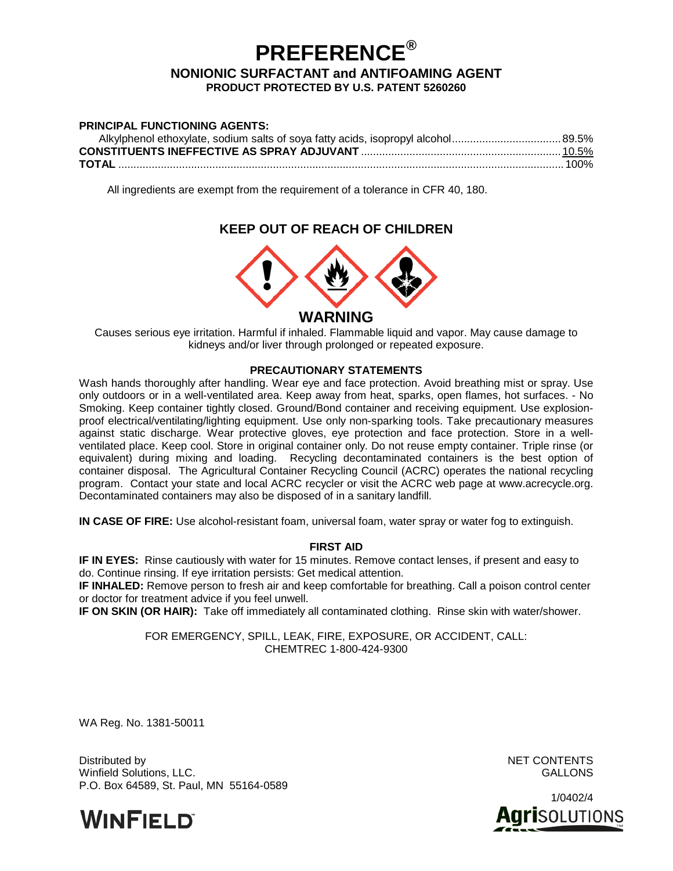# **PREFERENCE®**

#### **NONIONIC SURFACTANT and ANTIFOAMING AGENT PRODUCT PROTECTED BY U.S. PATENT 5260260**

| <b>PRINCIPAL FUNCTIONING AGENTS:</b> |  |
|--------------------------------------|--|
|                                      |  |
|                                      |  |
|                                      |  |

All ingredients are exempt from the requirement of a tolerance in CFR 40, 180.

# **KEEP OUT OF REACH OF CHILDREN**



Causes serious eye irritation. Harmful if inhaled. Flammable liquid and vapor. May cause damage to kidneys and/or liver through prolonged or repeated exposure.

#### **PRECAUTIONARY STATEMENTS**

Wash hands thoroughly after handling. Wear eye and face protection. Avoid breathing mist or spray. Use only outdoors or in a well-ventilated area. Keep away from heat, sparks, open flames, hot surfaces. - No Smoking. Keep container tightly closed. Ground/Bond container and receiving equipment. Use explosionproof electrical/ventilating/lighting equipment. Use only non-sparking tools. Take precautionary measures against static discharge. Wear protective gloves, eye protection and face protection. Store in a wellventilated place. Keep cool. Store in original container only. Do not reuse empty container. Triple rinse (or equivalent) during mixing and loading. Recycling decontaminated containers is the best option of container disposal. The Agricultural Container Recycling Council (ACRC) operates the national recycling program. Contact your state and local ACRC recycler or visit the ACRC web page at www.acrecycle.org. Decontaminated containers may also be disposed of in a sanitary landfill.

**IN CASE OF FIRE:** Use alcohol-resistant foam, universal foam, water spray or water fog to extinguish.

## **FIRST AID**

**IF IN EYES:** Rinse cautiously with water for 15 minutes. Remove contact lenses, if present and easy to do. Continue rinsing. If eye irritation persists: Get medical attention.

**IF INHALED:** Remove person to fresh air and keep comfortable for breathing. Call a poison control center or doctor for treatment advice if you feel unwell.

**IF ON SKIN (OR HAIR):** Take off immediately all contaminated clothing. Rinse skin with water/shower.

FOR EMERGENCY, SPILL, LEAK, FIRE, EXPOSURE, OR ACCIDENT, CALL: CHEMTREC 1-800-424-9300

WA Reg. No. 1381-50011

Distributed by NET CONTENTS Winfield Solutions, LLC. GALLONS P.O. Box 64589, St. Paul, MN 55164-0589